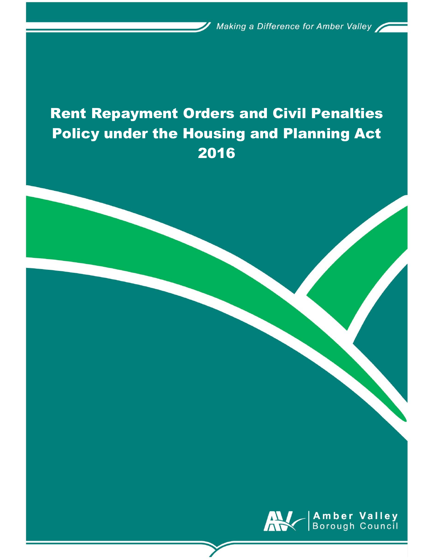Making a Difference for Amber Valley

# Rent Repayment Orders and Civil Penalties Policy under the Housing and Planning Act 2016

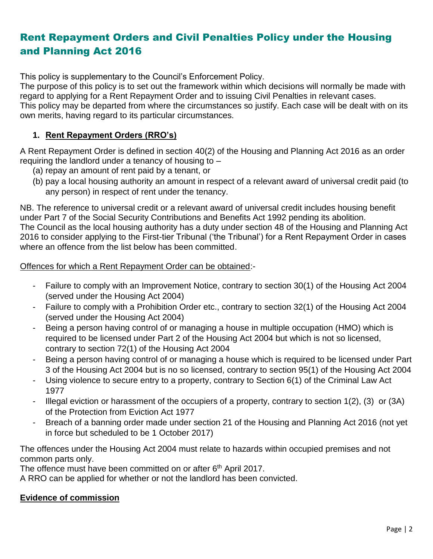# Rent Repayment Orders and Civil Penalties Policy under the Housing and Planning Act 2016

This policy is supplementary to the Council's Enforcement Policy.

The purpose of this policy is to set out the framework within which decisions will normally be made with regard to applying for a Rent Repayment Order and to issuing Civil Penalties in relevant cases.

This policy may be departed from where the circumstances so justify. Each case will be dealt with on its own merits, having regard to its particular circumstances.

#### **1. Rent Repayment Orders (RRO's)**

A Rent Repayment Order is defined in section 40(2) of the Housing and Planning Act 2016 as an order requiring the landlord under a tenancy of housing to –

- (a) repay an amount of rent paid by a tenant, or
- (b) pay a local housing authority an amount in respect of a relevant award of universal credit paid (to any person) in respect of rent under the tenancy.

NB. The reference to universal credit or a relevant award of universal credit includes housing benefit under Part 7 of the Social Security Contributions and Benefits Act 1992 pending its abolition. The Council as the local housing authority has a duty under section 48 of the Housing and Planning Act 2016 to consider applying to the First-tier Tribunal ('the Tribunal') for a Rent Repayment Order in cases where an offence from the list below has been committed.

Offences for which a Rent Repayment Order can be obtained:-

- Failure to comply with an Improvement Notice, contrary to section 30(1) of the Housing Act 2004 (served under the Housing Act 2004)
- Failure to comply with a Prohibition Order etc., contrary to section 32(1) of the Housing Act 2004 (served under the Housing Act 2004)
- Being a person having control of or managing a house in multiple occupation (HMO) which is required to be licensed under Part 2 of the Housing Act 2004 but which is not so licensed, contrary to section 72(1) of the Housing Act 2004
- Being a person having control of or managing a house which is required to be licensed under Part 3 of the Housing Act 2004 but is no so licensed, contrary to section 95(1) of the Housing Act 2004
- Using violence to secure entry to a property, contrary to Section 6(1) of the Criminal Law Act 1977
- Illegal eviction or harassment of the occupiers of a property, contrary to section  $1(2)$ ,  $(3)$  or  $(3A)$ of the Protection from Eviction Act 1977
- Breach of a banning order made under section 21 of the Housing and Planning Act 2016 (not yet in force but scheduled to be 1 October 2017)

The offences under the Housing Act 2004 must relate to hazards within occupied premises and not common parts only.

The offence must have been committed on or after 6<sup>th</sup> April 2017.

A RRO can be applied for whether or not the landlord has been convicted.

#### **Evidence of commission**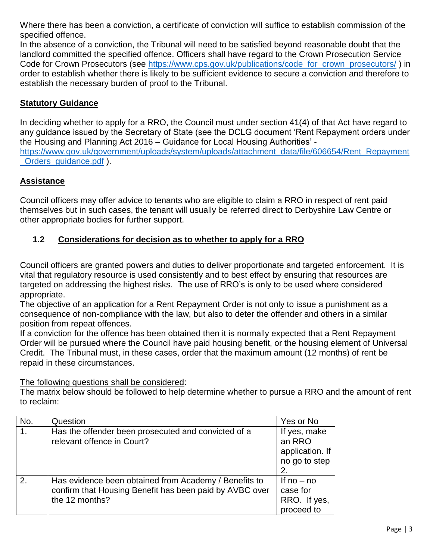Where there has been a conviction, a certificate of conviction will suffice to establish commission of the specified offence.

In the absence of a conviction, the Tribunal will need to be satisfied beyond reasonable doubt that the landlord committed the specified offence. Officers shall have regard to the Crown Prosecution Service Code for Crown Prosecutors (see [https://www.cps.gov.uk/publications/code\\_for\\_crown\\_prosecutors/](https://www.cps.gov.uk/publications/code_for_crown_prosecutors/) ) in order to establish whether there is likely to be sufficient evidence to secure a conviction and therefore to establish the necessary burden of proof to the Tribunal.

#### **Statutory Guidance**

In deciding whether to apply for a RRO, the Council must under section 41(4) of that Act have regard to any guidance issued by the Secretary of State (see the DCLG document 'Rent Repayment orders under the Housing and Planning Act 2016 – Guidance for Local Housing Authorities' [https://www.gov.uk/government/uploads/system/uploads/attachment\\_data/file/606654/Rent\\_Repayment](https://www.gov.uk/government/uploads/system/uploads/attachment_data/file/606654/Rent_Repayment_Orders_guidance.pdf) [\\_Orders\\_guidance.pdf](https://www.gov.uk/government/uploads/system/uploads/attachment_data/file/606654/Rent_Repayment_Orders_guidance.pdf) ).

## **Assistance**

Council officers may offer advice to tenants who are eligible to claim a RRO in respect of rent paid themselves but in such cases, the tenant will usually be referred direct to Derbyshire Law Centre or other appropriate bodies for further support.

## **1.2 Considerations for decision as to whether to apply for a RRO**

Council officers are granted powers and duties to deliver proportionate and targeted enforcement. It is vital that regulatory resource is used consistently and to best effect by ensuring that resources are targeted on addressing the highest risks. The use of RRO's is only to be used where considered appropriate.

The objective of an application for a Rent Repayment Order is not only to issue a punishment as a consequence of non-compliance with the law, but also to deter the offender and others in a similar position from repeat offences.

If a conviction for the offence has been obtained then it is normally expected that a Rent Repayment Order will be pursued where the Council have paid housing benefit, or the housing element of Universal Credit. The Tribunal must, in these cases, order that the maximum amount (12 months) of rent be repaid in these circumstances.

The following questions shall be considered:

The matrix below should be followed to help determine whether to pursue a RRO and the amount of rent to reclaim:

| No. | Question                                                                                                                           | Yes or No                                                        |
|-----|------------------------------------------------------------------------------------------------------------------------------------|------------------------------------------------------------------|
| 1.  | Has the offender been prosecuted and convicted of a<br>relevant offence in Court?                                                  | If yes, make<br>an RRO<br>application. If<br>no go to step<br>2. |
| 2.  | Has evidence been obtained from Academy / Benefits to<br>confirm that Housing Benefit has been paid by AVBC over<br>the 12 months? | If $no - no$<br>case for<br>RRO. If yes,<br>proceed to           |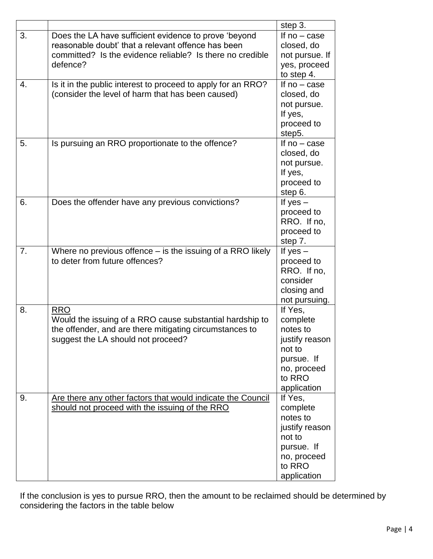|    |                                                              | step 3.                      |
|----|--------------------------------------------------------------|------------------------------|
| 3. | Does the LA have sufficient evidence to prove 'beyond        | If $no - case$               |
|    | reasonable doubt' that a relevant offence has been           | closed, do                   |
|    | committed? Is the evidence reliable? Is there no credible    | not pursue. If               |
|    | defence?                                                     | yes, proceed                 |
|    |                                                              | to step 4.                   |
| 4. | Is it in the public interest to proceed to apply for an RRO? | If $no - case$               |
|    | (consider the level of harm that has been caused)            | closed, do                   |
|    |                                                              | not pursue.                  |
|    |                                                              | If yes,                      |
|    |                                                              | proceed to                   |
| 5. |                                                              | step5.<br>If $no - case$     |
|    | Is pursuing an RRO proportionate to the offence?             | closed, do                   |
|    |                                                              | not pursue.                  |
|    |                                                              | If yes,                      |
|    |                                                              | proceed to                   |
|    |                                                              | step 6.                      |
| 6. | Does the offender have any previous convictions?             | If yes $-$                   |
|    |                                                              | proceed to                   |
|    |                                                              | RRO. If no,                  |
|    |                                                              | proceed to                   |
|    |                                                              | step 7.                      |
| 7. | Where no previous offence $-$ is the issuing of a RRO likely | If yes $-$                   |
|    | to deter from future offences?                               | proceed to                   |
|    |                                                              | RRO. If no,                  |
|    |                                                              | consider                     |
|    |                                                              | closing and<br>not pursuing. |
| 8. | <b>RRO</b>                                                   | If Yes,                      |
|    | Would the issuing of a RRO cause substantial hardship to     | complete                     |
|    | the offender, and are there mitigating circumstances to      | notes to                     |
|    | suggest the LA should not proceed?                           | justify reason               |
|    |                                                              | not to                       |
|    |                                                              | pursue. If                   |
|    |                                                              | no, proceed                  |
|    |                                                              | to RRO                       |
|    |                                                              | application                  |
| 9. | Are there any other factors that would indicate the Council  | If Yes,                      |
|    | should not proceed with the issuing of the RRO               | complete                     |
|    |                                                              | notes to                     |
|    |                                                              | justify reason               |
|    |                                                              | not to                       |
|    |                                                              | pursue. If                   |
|    |                                                              | no, proceed<br>to RRO        |
|    |                                                              | application                  |
|    |                                                              |                              |

If the conclusion is yes to pursue RRO, then the amount to be reclaimed should be determined by considering the factors in the table below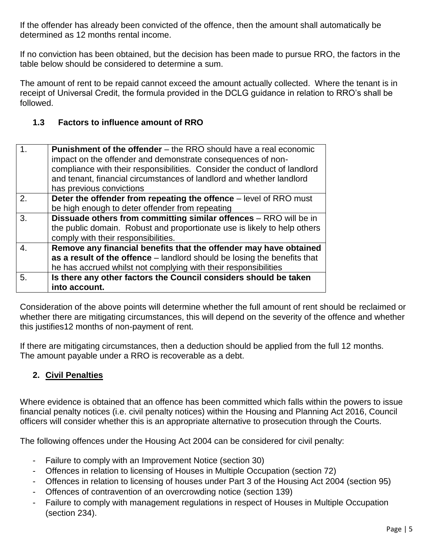If the offender has already been convicted of the offence, then the amount shall automatically be determined as 12 months rental income.

If no conviction has been obtained, but the decision has been made to pursue RRO, the factors in the table below should be considered to determine a sum.

The amount of rent to be repaid cannot exceed the amount actually collected. Where the tenant is in receipt of Universal Credit, the formula provided in the DCLG guidance in relation to RRO's shall be followed.

#### **1.3 Factors to influence amount of RRO**

| $\mathbf 1$ .                                                           | <b>Punishment of the offender</b> – the RRO should have a real economic<br>impact on the offender and demonstrate consequences of non-<br>compliance with their responsibilities. Consider the conduct of landlord<br>and tenant, financial circumstances of landlord and whether landlord<br>has previous convictions |  |
|-------------------------------------------------------------------------|------------------------------------------------------------------------------------------------------------------------------------------------------------------------------------------------------------------------------------------------------------------------------------------------------------------------|--|
| 2.                                                                      | Deter the offender from repeating the offence - level of RRO must                                                                                                                                                                                                                                                      |  |
|                                                                         | be high enough to deter offender from repeating                                                                                                                                                                                                                                                                        |  |
| Dissuade others from committing similar offences - RRO will be in<br>3. |                                                                                                                                                                                                                                                                                                                        |  |
|                                                                         | the public domain. Robust and proportionate use is likely to help others                                                                                                                                                                                                                                               |  |
|                                                                         | comply with their responsibilities.                                                                                                                                                                                                                                                                                    |  |
| $\overline{4}$ .                                                        | Remove any financial benefits that the offender may have obtained                                                                                                                                                                                                                                                      |  |
|                                                                         | as a result of the offence – landlord should be losing the benefits that                                                                                                                                                                                                                                               |  |
|                                                                         | he has accrued whilst not complying with their responsibilities                                                                                                                                                                                                                                                        |  |
| 5.                                                                      | Is there any other factors the Council considers should be taken                                                                                                                                                                                                                                                       |  |
|                                                                         | into account.                                                                                                                                                                                                                                                                                                          |  |

Consideration of the above points will determine whether the full amount of rent should be reclaimed or whether there are mitigating circumstances, this will depend on the severity of the offence and whether this justifies12 months of non-payment of rent.

If there are mitigating circumstances, then a deduction should be applied from the full 12 months. The amount payable under a RRO is recoverable as a debt.

## **2. Civil Penalties**

Where evidence is obtained that an offence has been committed which falls within the powers to issue financial penalty notices (i.e. civil penalty notices) within the Housing and Planning Act 2016, Council officers will consider whether this is an appropriate alternative to prosecution through the Courts.

The following offences under the Housing Act 2004 can be considered for civil penalty:

- Failure to comply with an Improvement Notice (section 30)
- Offences in relation to licensing of Houses in Multiple Occupation (section 72)
- Offences in relation to licensing of houses under Part 3 of the Housing Act 2004 (section 95)
- Offences of contravention of an overcrowding notice (section 139)
- Failure to comply with management regulations in respect of Houses in Multiple Occupation (section 234).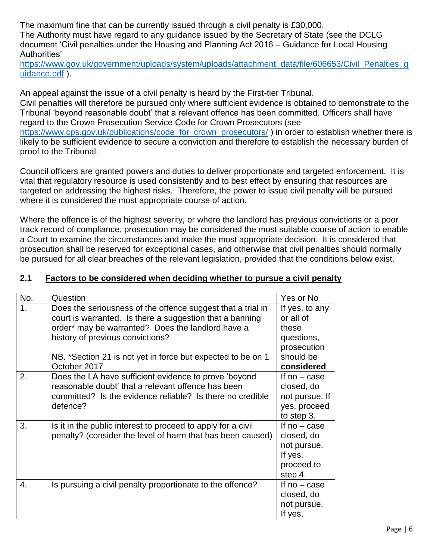The maximum fine that can be currently issued through a civil penalty is £30,000.

The Authority must have regard to any guidance issued by the Secretary of State (see the DCLG document 'Civil penalties under the Housing and Planning Act 2016 – Guidance for Local Housing Authorities'

[https://www.gov.uk/government/uploads/system/uploads/attachment\\_data/file/606653/Civil\\_Penalties\\_g](https://www.gov.uk/government/uploads/system/uploads/attachment_data/file/606653/Civil_Penalties_guidance.pdf) [uidance.pdf](https://www.gov.uk/government/uploads/system/uploads/attachment_data/file/606653/Civil_Penalties_guidance.pdf) ).

An appeal against the issue of a civil penalty is heard by the First-tier Tribunal. Civil penalties will therefore be pursued only where sufficient evidence is obtained to demonstrate to the Tribunal 'beyond reasonable doubt' that a relevant offence has been committed. Officers shall have regard to the Crown Prosecution Service Code for Crown Prosecutors (see [https://www.cps.gov.uk/publications/code\\_for\\_crown\\_prosecutors/](https://www.cps.gov.uk/publications/code_for_crown_prosecutors/) ) in order to establish whether there is likely to be sufficient evidence to secure a conviction and therefore to establish the necessary burden of proof to the Tribunal.

Council officers are granted powers and duties to deliver proportionate and targeted enforcement. It is vital that regulatory resource is used consistently and to best effect by ensuring that resources are targeted on addressing the highest risks. Therefore, the power to issue civil penalty will be pursued where it is considered the most appropriate course of action.

Where the offence is of the highest severity, or where the landlord has previous convictions or a poor track record of compliance, prosecution may be considered the most suitable course of action to enable a Court to examine the circumstances and make the most appropriate decision. It is considered that prosecution shall be reserved for exceptional cases, and otherwise that civil penalties should normally be pursued for all clear breaches of the relevant legislation, provided that the conditions below exist.

| No. | Question                                                                                                                                                                                                                                                                                        | Yes or No                                                                                    |
|-----|-------------------------------------------------------------------------------------------------------------------------------------------------------------------------------------------------------------------------------------------------------------------------------------------------|----------------------------------------------------------------------------------------------|
| 1.  | Does the seriousness of the offence suggest that a trial in<br>court is warranted. Is there a suggestion that a banning<br>order* may be warranted? Does the landlord have a<br>history of previous convictions?<br>NB. *Section 21 is not yet in force but expected to be on 1<br>October 2017 | If yes, to any<br>or all of<br>these<br>questions,<br>prosecution<br>should be<br>considered |
| 2.  | Does the LA have sufficient evidence to prove 'beyond<br>reasonable doubt' that a relevant offence has been<br>committed? Is the evidence reliable? Is there no credible<br>defence?                                                                                                            | If $no - case$<br>closed, do<br>not pursue. If<br>yes, proceed<br>to step 3.                 |
| 3.  | Is it in the public interest to proceed to apply for a civil<br>penalty? (consider the level of harm that has been caused)                                                                                                                                                                      | If $no - case$<br>closed, do<br>not pursue.<br>If yes,<br>proceed to<br>step 4.              |
| 4.  | Is pursuing a civil penalty proportionate to the offence?                                                                                                                                                                                                                                       | If $no - case$<br>closed, do<br>not pursue.<br>If yes,                                       |

#### **2.1 Factors to be considered when deciding whether to pursue a civil penalty**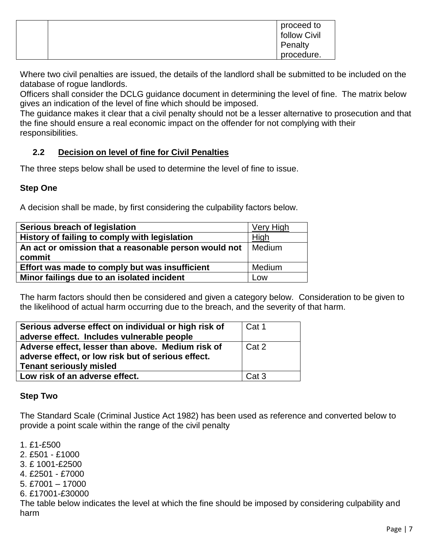|  | proceed to<br>follow Civil |
|--|----------------------------|
|  | Penalty                    |
|  | procedure.                 |

Where two civil penalties are issued, the details of the landlord shall be submitted to be included on the database of rogue landlords.

Officers shall consider the DCLG guidance document in determining the level of fine. The matrix below gives an indication of the level of fine which should be imposed.

The guidance makes it clear that a civil penalty should not be a lesser alternative to prosecution and that the fine should ensure a real economic impact on the offender for not complying with their responsibilities.

## **2.2 Decision on level of fine for Civil Penalties**

The three steps below shall be used to determine the level of fine to issue.

#### **Step One**

A decision shall be made, by first considering the culpability factors below.

| Serious breach of legislation                         | Very High |
|-------------------------------------------------------|-----------|
| History of failing to comply with legislation         | High      |
| An act or omission that a reasonable person would not | Medium    |
| commit                                                |           |
| Effort was made to comply but was insufficient        | Medium    |
| Minor failings due to an isolated incident            | Low       |

The harm factors should then be considered and given a category below. Consideration to be given to the likelihood of actual harm occurring due to the breach, and the severity of that harm.

| Serious adverse effect on individual or high risk of<br>adverse effect. Includes vulnerable people                                        | Cat 1            |
|-------------------------------------------------------------------------------------------------------------------------------------------|------------------|
| Adverse effect, lesser than above. Medium risk of<br>adverse effect, or low risk but of serious effect.<br><b>Tenant seriously misled</b> | Cat 2            |
| Low risk of an adverse effect.                                                                                                            | Cat <sub>3</sub> |

#### **Step Two**

The Standard Scale (Criminal Justice Act 1982) has been used as reference and converted below to provide a point scale within the range of the civil penalty

1. £1-£500 2. £501 - £1000 3. £ 1001-£2500 4. £2501 - £7000 5. £7001 – 17000 6. £17001-£30000 The table below indicates the level at which the fine should be imposed by considering culpability and harm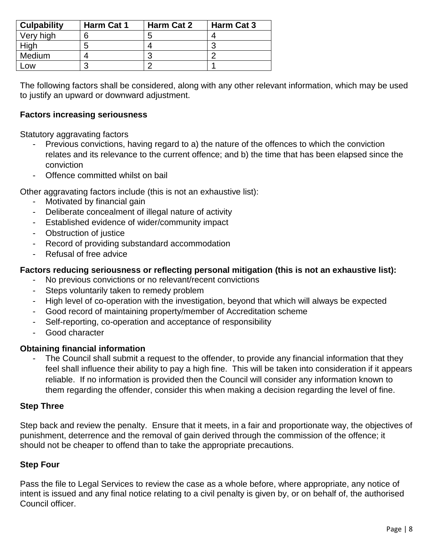| <b>Culpability</b> | Harm Cat 1 | Harm Cat 2 | Harm Cat 3 |
|--------------------|------------|------------|------------|
| Very high          | 6          | э          |            |
| High               | b          |            |            |
| Medium             |            | n          |            |
| .ow                | ⌒          |            |            |

The following factors shall be considered, along with any other relevant information, which may be used to justify an upward or downward adjustment.

#### **Factors increasing seriousness**

Statutory aggravating factors

- Previous convictions, having regard to a) the nature of the offences to which the conviction relates and its relevance to the current offence; and b) the time that has been elapsed since the conviction
- Offence committed whilst on bail

Other aggravating factors include (this is not an exhaustive list):

- Motivated by financial gain
- Deliberate concealment of illegal nature of activity
- Established evidence of wider/community impact
- Obstruction of justice
- Record of providing substandard accommodation
- Refusal of free advice

#### **Factors reducing seriousness or reflecting personal mitigation (this is not an exhaustive list):**

- No previous convictions or no relevant/recent convictions
- Steps voluntarily taken to remedy problem
- High level of co-operation with the investigation, beyond that which will always be expected
- Good record of maintaining property/member of Accreditation scheme
- Self-reporting, co-operation and acceptance of responsibility
- Good character

#### **Obtaining financial information**

- The Council shall submit a request to the offender, to provide any financial information that they feel shall influence their ability to pay a high fine. This will be taken into consideration if it appears reliable. If no information is provided then the Council will consider any information known to them regarding the offender, consider this when making a decision regarding the level of fine.

#### **Step Three**

Step back and review the penalty. Ensure that it meets, in a fair and proportionate way, the objectives of punishment, deterrence and the removal of gain derived through the commission of the offence; it should not be cheaper to offend than to take the appropriate precautions.

#### **Step Four**

Pass the file to Legal Services to review the case as a whole before, where appropriate, any notice of intent is issued and any final notice relating to a civil penalty is given by, or on behalf of, the authorised Council officer.